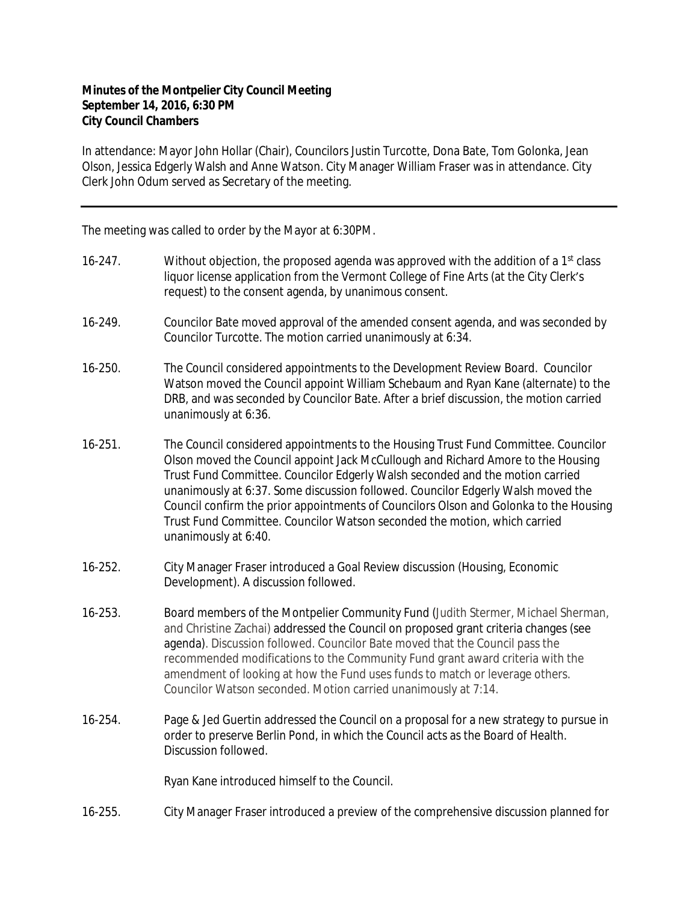## **Minutes of the Montpelier City Council Meeting September 14, 2016, 6:30 PM City Council Chambers**

In attendance: Mayor John Hollar (Chair), Councilors Justin Turcotte, Dona Bate, Tom Golonka, Jean Olson, Jessica Edgerly Walsh and Anne Watson. City Manager William Fraser was in attendance. City Clerk John Odum served as Secretary of the meeting.

The meeting was called to order by the Mayor at 6:30PM.

- 16-247. Without objection, the proposed agenda was approved with the addition of a 1<sup>st</sup> class liquor license application from the Vermont College of Fine Arts (at the City Clerk's request) to the consent agenda, by unanimous consent.
- 16-249. Councilor Bate moved approval of the amended consent agenda, and was seconded by Councilor Turcotte. The motion carried unanimously at 6:34.
- 16-250. The Council considered appointments to the Development Review Board. Councilor Watson moved the Council appoint William Schebaum and Ryan Kane (alternate) to the DRB, and was seconded by Councilor Bate. After a brief discussion, the motion carried unanimously at 6:36.
- 16-251. The Council considered appointments to the Housing Trust Fund Committee. Councilor Olson moved the Council appoint Jack McCullough and Richard Amore to the Housing Trust Fund Committee. Councilor Edgerly Walsh seconded and the motion carried unanimously at 6:37. Some discussion followed. Councilor Edgerly Walsh moved the Council confirm the prior appointments of Councilors Olson and Golonka to the Housing Trust Fund Committee. Councilor Watson seconded the motion, which carried unanimously at 6:40.
- 16-252. City Manager Fraser introduced a Goal Review discussion (Housing, Economic Development). A discussion followed.
- 16-253. Board members of the Montpelier Community Fund (Judith Stermer, Michael Sherman, and Christine Zachai) addressed the Council on proposed grant criteria changes (see agenda). Discussion followed. Councilor Bate moved that the Council pass the recommended modifications to the Community Fund grant award criteria with the amendment of looking at how the Fund uses funds to match or leverage others. Councilor Watson seconded. Motion carried unanimously at 7:14.
- 16-254. Page & Jed Guertin addressed the Council on a proposal for a new strategy to pursue in order to preserve Berlin Pond, in which the Council acts as the Board of Health. Discussion followed.

Ryan Kane introduced himself to the Council.

16-255. City Manager Fraser introduced a preview of the comprehensive discussion planned for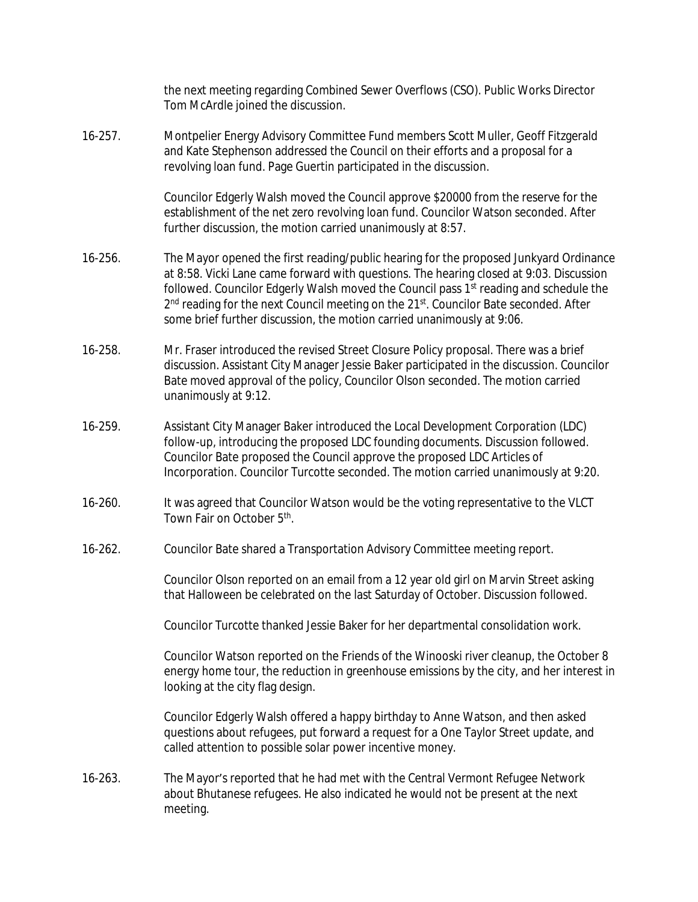|              | the next meeting regarding Combined Sewer Overflows (CSO). Public Works Director<br>Tom McArdle joined the discussion.                                                                                                                                                                                                                                                                                                                                                           |
|--------------|----------------------------------------------------------------------------------------------------------------------------------------------------------------------------------------------------------------------------------------------------------------------------------------------------------------------------------------------------------------------------------------------------------------------------------------------------------------------------------|
| $16 - 257$ . | Montpelier Energy Advisory Committee Fund members Scott Muller, Geoff Fitzgerald<br>and Kate Stephenson addressed the Council on their efforts and a proposal for a<br>revolving loan fund. Page Guertin participated in the discussion.                                                                                                                                                                                                                                         |
|              | Councilor Edgerly Walsh moved the Council approve \$20000 from the reserve for the<br>establishment of the net zero revolving loan fund. Councilor Watson seconded. After<br>further discussion, the motion carried unanimously at 8:57.                                                                                                                                                                                                                                         |
| 16-256.      | The Mayor opened the first reading/public hearing for the proposed Junkyard Ordinance<br>at 8:58. Vicki Lane came forward with questions. The hearing closed at 9:03. Discussion<br>followed. Councilor Edgerly Walsh moved the Council pass 1 <sup>st</sup> reading and schedule the<br>2 <sup>nd</sup> reading for the next Council meeting on the 21 <sup>st</sup> . Councilor Bate seconded. After<br>some brief further discussion, the motion carried unanimously at 9:06. |
| 16-258.      | Mr. Fraser introduced the revised Street Closure Policy proposal. There was a brief<br>discussion. Assistant City Manager Jessie Baker participated in the discussion. Councilor<br>Bate moved approval of the policy, Councilor Olson seconded. The motion carried<br>unanimously at 9:12.                                                                                                                                                                                      |
| 16-259.      | Assistant City Manager Baker introduced the Local Development Corporation (LDC)<br>follow-up, introducing the proposed LDC founding documents. Discussion followed.<br>Councilor Bate proposed the Council approve the proposed LDC Articles of<br>Incorporation. Councilor Turcotte seconded. The motion carried unanimously at 9:20.                                                                                                                                           |
| 16-260.      | It was agreed that Councilor Watson would be the voting representative to the VLCT<br>Town Fair on October 5th.                                                                                                                                                                                                                                                                                                                                                                  |
| 16-262.      | Councilor Bate shared a Transportation Advisory Committee meeting report.                                                                                                                                                                                                                                                                                                                                                                                                        |
|              | Councilor Olson reported on an email from a 12 year old girl on Marvin Street asking<br>that Halloween be celebrated on the last Saturday of October. Discussion followed.                                                                                                                                                                                                                                                                                                       |
|              | Councilor Turcotte thanked Jessie Baker for her departmental consolidation work.                                                                                                                                                                                                                                                                                                                                                                                                 |
|              | Councilor Watson reported on the Friends of the Winooski river cleanup, the October 8<br>energy home tour, the reduction in greenhouse emissions by the city, and her interest in<br>looking at the city flag design.                                                                                                                                                                                                                                                            |
|              | Councilor Edgerly Walsh offered a happy birthday to Anne Watson, and then asked<br>questions about refugees, put forward a request for a One Taylor Street update, and<br>called attention to possible solar power incentive money.                                                                                                                                                                                                                                              |
| $16 - 263.$  | The Mayor's reported that he had met with the Central Vermont Refugee Network<br>about Bhutanese refugees. He also indicated he would not be present at the next<br>meeting.                                                                                                                                                                                                                                                                                                     |